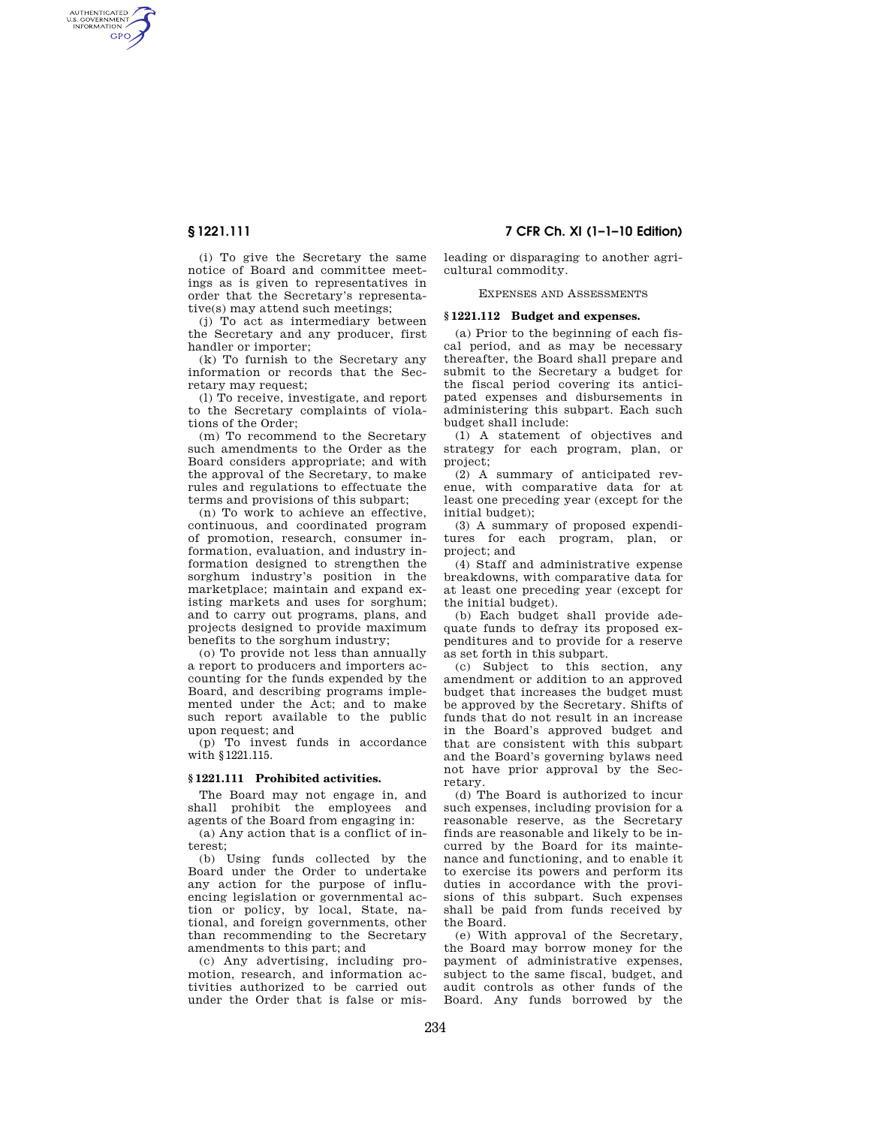AUTHENTICATED<br>U.S. GOVERNMENT<br>INFORMATION **GPO** 

**§ 1221.111 7 CFR Ch. XI (1–1–10 Edition)** 

(i) To give the Secretary the same notice of Board and committee meetings as is given to representatives in order that the Secretary's representative(s) may attend such meetings;

(j) To act as intermediary between the Secretary and any producer, first handler or importer;

(k) To furnish to the Secretary any information or records that the Secretary may request;

(l) To receive, investigate, and report to the Secretary complaints of violations of the Order;

(m) To recommend to the Secretary such amendments to the Order as the Board considers appropriate; and with the approval of the Secretary, to make rules and regulations to effectuate the terms and provisions of this subpart;

(n) To work to achieve an effective, continuous, and coordinated program of promotion, research, consumer information, evaluation, and industry information designed to strengthen the sorghum industry's position in the marketplace; maintain and expand existing markets and uses for sorghum; and to carry out programs, plans, and projects designed to provide maximum benefits to the sorghum industry;

(o) To provide not less than annually a report to producers and importers accounting for the funds expended by the Board, and describing programs implemented under the Act; and to make such report available to the public upon request; and

(p) To invest funds in accordance with §1221.115.

## **§ 1221.111 Prohibited activities.**

The Board may not engage in, and shall prohibit the employees and agents of the Board from engaging in:

(a) Any action that is a conflict of interest;

(b) Using funds collected by the Board under the Order to undertake any action for the purpose of influencing legislation or governmental action or policy, by local, State, national, and foreign governments, other than recommending to the Secretary amendments to this part; and

(c) Any advertising, including promotion, research, and information activities authorized to be carried out under the Order that is false or misleading or disparaging to another agricultural commodity.

## EXPENSES AND ASSESSMENTS

# **§ 1221.112 Budget and expenses.**

(a) Prior to the beginning of each fiscal period, and as may be necessary thereafter, the Board shall prepare and submit to the Secretary a budget for the fiscal period covering its anticipated expenses and disbursements in administering this subpart. Each such budget shall include:

(1) A statement of objectives and strategy for each program, plan, or project;

(2) A summary of anticipated revenue, with comparative data for at least one preceding year (except for the initial budget);

(3) A summary of proposed expenditures for each program, plan, or project; and

(4) Staff and administrative expense breakdowns, with comparative data for at least one preceding year (except for the initial budget).

(b) Each budget shall provide adequate funds to defray its proposed expenditures and to provide for a reserve as set forth in this subpart.

(c) Subject to this section, any amendment or addition to an approved budget that increases the budget must be approved by the Secretary. Shifts of funds that do not result in an increase in the Board's approved budget and that are consistent with this subpart and the Board's governing bylaws need not have prior approval by the Secretary.

(d) The Board is authorized to incur such expenses, including provision for a reasonable reserve, as the Secretary finds are reasonable and likely to be incurred by the Board for its maintenance and functioning, and to enable it to exercise its powers and perform its duties in accordance with the provisions of this subpart. Such expenses shall be paid from funds received by the Board.

(e) With approval of the Secretary, the Board may borrow money for the payment of administrative expenses, subject to the same fiscal, budget, and audit controls as other funds of the Board. Any funds borrowed by the